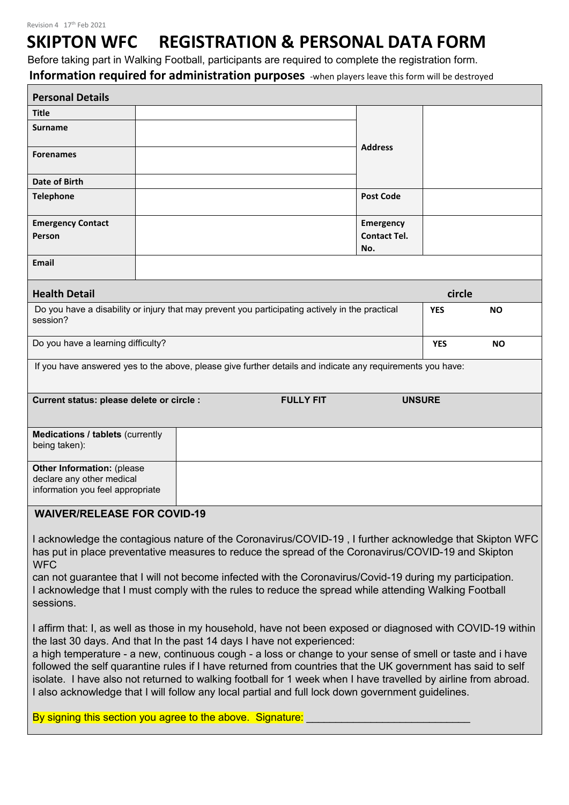# **SKIPTON WFC REGISTRATION & PERSONAL DATA FORM**

Before taking part in Walking Football, participants are required to complete the registration form.

**Information required for administration purposes** -when players leave this form will be destroyed

٦

| <b>Personal Details</b>                                                                            |                                                                                                                                                                                                                                                                                                                                              |                            |            |           |
|----------------------------------------------------------------------------------------------------|----------------------------------------------------------------------------------------------------------------------------------------------------------------------------------------------------------------------------------------------------------------------------------------------------------------------------------------------|----------------------------|------------|-----------|
| Title                                                                                              |                                                                                                                                                                                                                                                                                                                                              |                            |            |           |
| <b>Surname</b>                                                                                     |                                                                                                                                                                                                                                                                                                                                              |                            |            |           |
| <b>Forenames</b>                                                                                   |                                                                                                                                                                                                                                                                                                                                              | <b>Address</b>             |            |           |
| Date of Birth                                                                                      |                                                                                                                                                                                                                                                                                                                                              |                            |            |           |
| <b>Telephone</b>                                                                                   |                                                                                                                                                                                                                                                                                                                                              | <b>Post Code</b>           |            |           |
| <b>Emergency Contact</b>                                                                           |                                                                                                                                                                                                                                                                                                                                              | Emergency                  |            |           |
| Person                                                                                             |                                                                                                                                                                                                                                                                                                                                              | <b>Contact Tel.</b><br>No. |            |           |
| Email                                                                                              |                                                                                                                                                                                                                                                                                                                                              |                            |            |           |
| <b>Health Detail</b>                                                                               |                                                                                                                                                                                                                                                                                                                                              |                            | circle     |           |
|                                                                                                    | Do you have a disability or injury that may prevent you participating actively in the practical                                                                                                                                                                                                                                              |                            | <b>YES</b> | <b>NO</b> |
| session?                                                                                           |                                                                                                                                                                                                                                                                                                                                              |                            |            |           |
| Do you have a learning difficulty?                                                                 |                                                                                                                                                                                                                                                                                                                                              |                            | <b>YES</b> | <b>NO</b> |
|                                                                                                    | If you have answered yes to the above, please give further details and indicate any requirements you have:                                                                                                                                                                                                                                   |                            |            |           |
|                                                                                                    |                                                                                                                                                                                                                                                                                                                                              |                            |            |           |
| Current status: please delete or circle :                                                          | <b>FULLY FIT</b>                                                                                                                                                                                                                                                                                                                             | <b>UNSURE</b>              |            |           |
| <b>Medications / tablets (currently</b><br>being taken):                                           |                                                                                                                                                                                                                                                                                                                                              |                            |            |           |
|                                                                                                    |                                                                                                                                                                                                                                                                                                                                              |                            |            |           |
| <b>Other Information: (please</b><br>declare any other medical<br>information you feel appropriate |                                                                                                                                                                                                                                                                                                                                              |                            |            |           |
| <b>WAIVER/RELEASE FOR COVID-19</b>                                                                 |                                                                                                                                                                                                                                                                                                                                              |                            |            |           |
|                                                                                                    |                                                                                                                                                                                                                                                                                                                                              |                            |            |           |
| <b>WFC</b>                                                                                         | I acknowledge the contagious nature of the Coronavirus/COVID-19 , I further acknowledge that Skipton WFC<br>has put in place preventative measures to reduce the spread of the Coronavirus/COVID-19 and Skipton                                                                                                                              |                            |            |           |
| sessions.                                                                                          | can not guarantee that I will not become infected with the Coronavirus/Covid-19 during my participation.<br>I acknowledge that I must comply with the rules to reduce the spread while attending Walking Football                                                                                                                            |                            |            |           |
|                                                                                                    | I affirm that: I, as well as those in my household, have not been exposed or diagnosed with COVID-19 within<br>the last 30 days. And that In the past 14 days I have not experienced:                                                                                                                                                        |                            |            |           |
|                                                                                                    | a high temperature - a new, continuous cough - a loss or change to your sense of smell or taste and i have<br>followed the self quarantine rules if I have returned from countries that the UK government has said to self<br>isolate. I have also not returned to walking football for 1 week when I have travelled by airline from abroad. |                            |            |           |
|                                                                                                    | I also acknowledge that I will follow any local partial and full lock down government guidelines.                                                                                                                                                                                                                                            |                            |            |           |
|                                                                                                    | By signing this section you agree to the above. Signature:                                                                                                                                                                                                                                                                                   |                            |            |           |
|                                                                                                    |                                                                                                                                                                                                                                                                                                                                              |                            |            |           |
|                                                                                                    |                                                                                                                                                                                                                                                                                                                                              |                            |            |           |